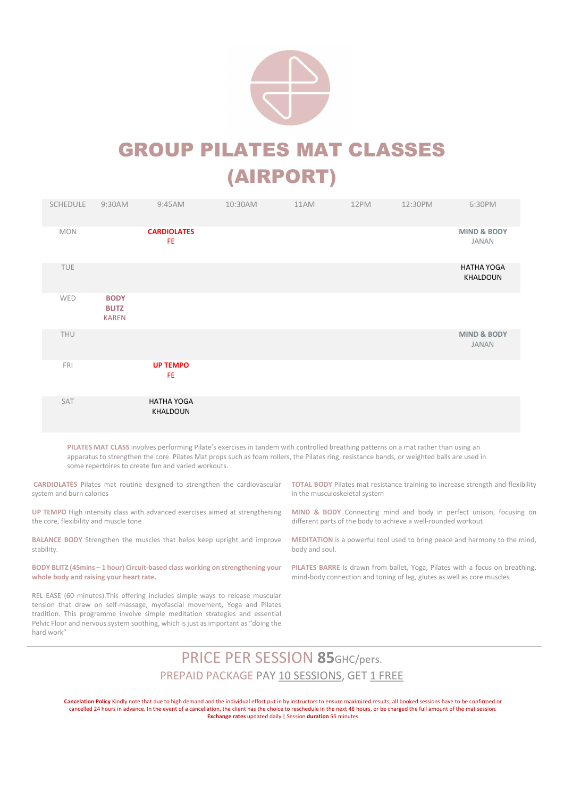

### GROUP PILATES MAT CLASSES (AIRPORT)

| SCHEDULE   | 9:30AM                                      | 9:45AM                        | 10:30AM | 11AM | 12PM | 12:30PM | 6:30PM                                 |
|------------|---------------------------------------------|-------------------------------|---------|------|------|---------|----------------------------------------|
| <b>MON</b> |                                             | <b>CARDIOLATES</b><br>FE.     |         |      |      |         | <b>MIND &amp; BODY</b><br><b>JANAN</b> |
| TUE        |                                             |                               |         |      |      |         | HATHA YOGA<br>KHALDOUN                 |
| <b>WED</b> | <b>BODY</b><br><b>BLITZ</b><br><b>KAREN</b> |                               |         |      |      |         |                                        |
| THU        |                                             |                               |         |      |      |         | <b>MIND &amp; BODY</b><br>JANAN        |
| <b>FRI</b> |                                             | <b>UP TEMPO</b><br>FE.        |         |      |      |         |                                        |
| SAT        |                                             | <b>HATHA YOGA</b><br>KHALDOUN |         |      |      |         |                                        |

PILATES MAT CLASS involves performing Pilate's exercises in tandem with controlled breathing patterns on a mat rather than using an apparatus to strengthen the core. Pilates Mat props such as foam rollers, the Pilates ring, resistance bands, or weighted balls are used in some repertoires to create fun and varied workouts.

CARDIOLATES Pilates mat routine designed to strengthen the cardiovascular system and burn calories

UP TEMPO High intensity class with advanced exercises aimed at strengthening the core, flexibility and muscle tone

BALANCE BODY Strengthen the muscles that helps keep upright and improve stability.

BODY BLITZ (45mins – 1 hour) Circuit-based class working on strengthening your whole body and raising your heart rate.

REL EASE (60 minutes).This offering includes simple ways to release muscular tension that draw on self-massage, myofascial movement, Yoga and Pilates tradition. This programme involve simple meditation strategies and essential Pelvic Floor and nervous system soothing, which is just as important as "doing the hard work"

TOTAL BODY Pilates mat resistance training to increase strength and flexibility in the musculoskeletal system

MIND & BODY Connecting mind and body in perfect unison, focusing on different parts of the body to achieve a well-rounded workout

MEDITATION is a powerful tool used to bring peace and harmony to the mind, body and soul.

PILATES BARRE Is drawn from ballet, Yoga, Pilates with a focus on breathing, mind-body connection and toning of leg, glutes as well as core muscles

### PRICE PER SESSION 85<sub>GHC/pers.</sub> PREPAID PACKAGE PAY 10 SESSIONS, GET 1 FREE

Cancelation Policy Kindly note that due to high demand and the individual effort put in by instructors to ensure maximized results, all booked sessions have to be confirmed or cancelled 24 hours in advance. In the event of a cancellation, the client has the choice to reschedule in the next 48 hours, or be charged the full amount of the mat session. Exchange rates updated daily | Session duration 55 minutes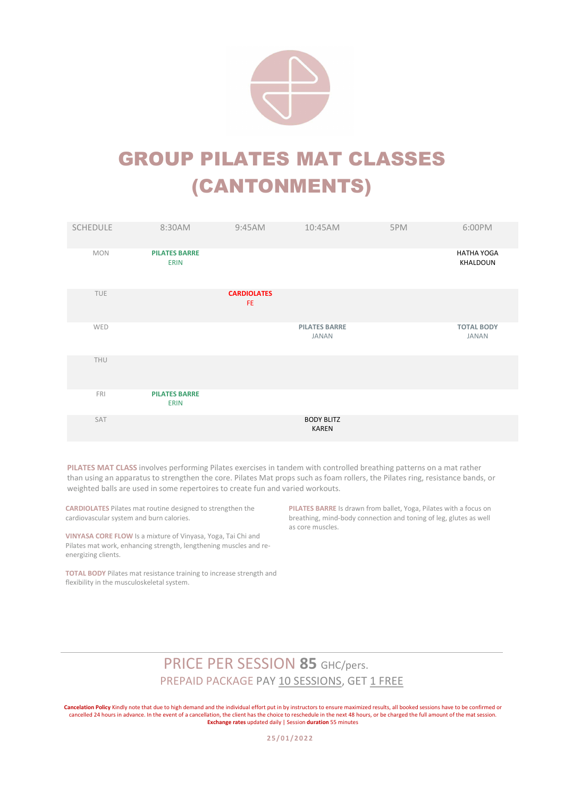

## GROUP PILATES MAT CLASSES (CANTONMENTS)

| <b>SCHEDULE</b> | 8:30AM                              | 9:45AM                    | 10:45AM                              | 5PM | 6:00PM                            |
|-----------------|-------------------------------------|---------------------------|--------------------------------------|-----|-----------------------------------|
| <b>MON</b>      | <b>PILATES BARRE</b><br><b>ERIN</b> |                           |                                      |     | <b>HATHA YOGA</b><br>KHALDOUN     |
| <b>TUE</b>      |                                     | <b>CARDIOLATES</b><br>FE. |                                      |     |                                   |
| WED             |                                     |                           | <b>PILATES BARRE</b><br><b>JANAN</b> |     | <b>TOTAL BODY</b><br><b>JANAN</b> |
| THU             |                                     |                           |                                      |     |                                   |
| FRI             | <b>PILATES BARRE</b><br><b>ERIN</b> |                           |                                      |     |                                   |
| SAT             |                                     |                           | <b>BODY BLITZ</b><br><b>KAREN</b>    |     |                                   |

PILATES MAT CLASS involves performing Pilates exercises in tandem with controlled breathing patterns on a mat rather than using an apparatus to strengthen the core. Pilates Mat props such as foam rollers, the Pilates ring, resistance bands, or weighted balls are used in some repertoires to create fun and varied workouts.

CARDIOLATES Pilates mat routine designed to strengthen the cardiovascular system and burn calories.

VINYASA CORE FLOW Is a mixture of Vinyasa, Yoga, Tai Chi and Pilates mat work, enhancing strength, lengthening muscles and reenergizing clients.

PILATES BARRE Is drawn from ballet, Yoga, Pilates with a focus on breathing, mind-body connection and toning of leg, glutes as well as core muscles.

TOTAL BODY Pilates mat resistance training to increase strength and flexibility in the musculoskeletal system.

#### PRICE PER SESSION 85 GHC/pers. PREPAID PACKAGE PAY 10 SESSIONS, GET 1 FREE

Cancelation Policy Kindly note that due to high demand and the individual effort put in by instructors to ensure maximized results, all booked sessions have to be confirmed or cancelled 24 hours in advance. In the event of a cancellation, the client has the choice to reschedule in the next 48 hours, or be charged the full amount of the mat session. Exchange rates updated daily | Session duration 55 minutes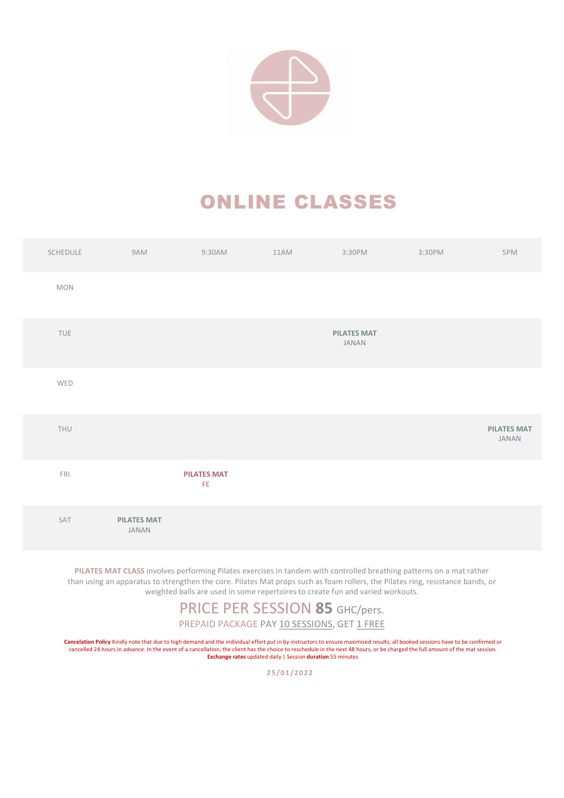

### ONLINE CLASSES

| SCHEDULE       | 9AM                         | 9:30AM                              | 11AM | 3:30PM                             | 3:30PM | 5PM                         |
|----------------|-----------------------------|-------------------------------------|------|------------------------------------|--------|-----------------------------|
| MON            |                             |                                     |      |                                    |        |                             |
| TUE            |                             |                                     |      | <b>PILATES MAT</b><br><b>JANAN</b> |        |                             |
| WED            |                             |                                     |      |                                    |        |                             |
| THU            |                             |                                     |      |                                    |        | <b>PILATES MAT</b><br>JANAN |
| $\mathsf{FRI}$ |                             | <b>PILATES MAT</b><br>$\mathsf{FE}$ |      |                                    |        |                             |
| SAT            | <b>PILATES MAT</b><br>JANAN |                                     |      |                                    |        |                             |

PILATES MAT CLASS involves performing Pilates exercises in tandem with controlled breathing patterns on a mat rather than using an apparatus to strengthen the core. Pilates Mat props such as foam rollers, the Pilates ring, resistance bands, or weighted balls are used in some repertoires to create fun and varied workouts.

#### PRICE PER SESSION 85 GHC/pers. PREPAID PACKAGE PAY 10 SESSIONS, GET 1 FREE

Cancelation Policy Kindly note that due to high demand and the individual effort put in by instructors to ensure maximized results, all booked sessions have to be confirmed or cancelled 24 hours in advance. In the event of a cancellation, the client has the choice to reschedule in the next 48 hours, or be charged the full amount of the mat session. Exchange rates updated daily | Session duration 55 minutes

2 5 / 0 1 / 2 0 2 2